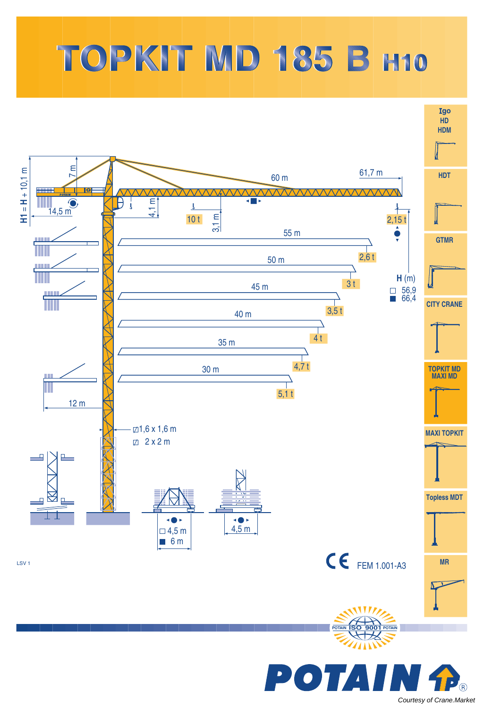## TOPKIT MD 185 B H10



[Courtesy of Crane.Market](https://crane.market)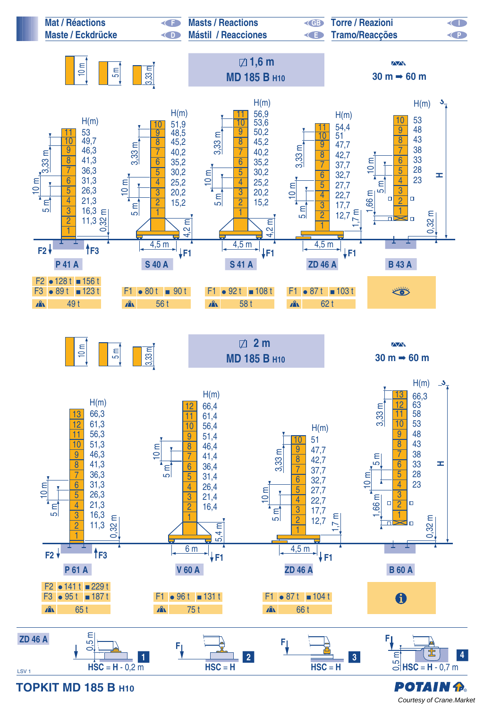

[Courtesy of Crane.Market](https://crane.market)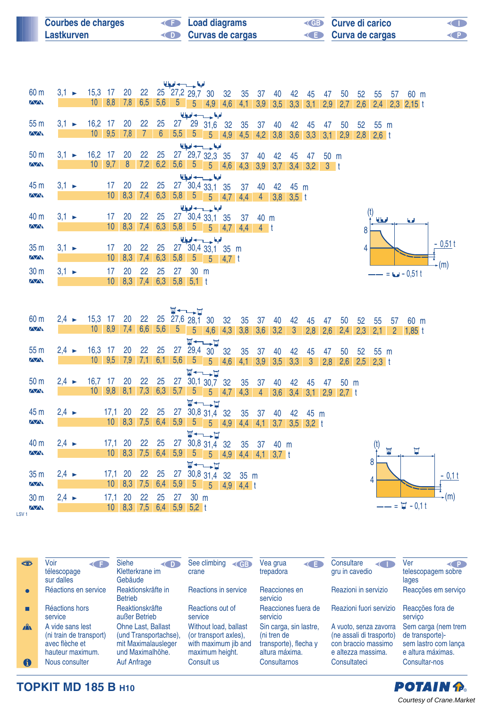| <b>Courbes de charges</b> | <b>Example 2</b> Load diagrams | <b>ED</b> Curve di carico | <b>KID</b> |
|---------------------------|--------------------------------|---------------------------|------------|
| Lastkurven                | <b>Curvas de cargas</b>        | <b>E</b> Curva de cargas  | <b>KPI</b> |

|                           |                   |                 |             |             |                                    |                |                | للبيا حسيبه لبا                                       |                                  |            |           |                |                 |                      |               |                |                 |             |                     |                       |                        |           |
|---------------------------|-------------------|-----------------|-------------|-------------|------------------------------------|----------------|----------------|-------------------------------------------------------|----------------------------------|------------|-----------|----------------|-----------------|----------------------|---------------|----------------|-----------------|-------------|---------------------|-----------------------|------------------------|-----------|
| 60 m<br><b>AA</b>         | $3.1 \rightarrow$ | 15,3 17<br>10   | 8,8         | 20<br>7,8   | 22<br>6,5                          | 5,6            | 5 <sub>1</sub> | 25 27,2 29,7 30<br>$5\overline{)}$                    |                                  | 32         | 35        | 37             | 40              | 42                   | 45            | 47             | 50              | 52          | 55                  | 57                    | 60 m                   |           |
|                           |                   |                 |             |             |                                    |                |                |                                                       | $4,9$ 4,6                        |            | 4,1       |                | $3,9$ $3,5$     | 3,3                  | 3,1           | 2,9            | 2,7             | 2,6         |                     |                       | $2,4$ 2,3 2,15 t       |           |
| 55 m                      | $3.1 \rightarrow$ | 16,2 17         |             | 20          | 22                                 | 25             | 27             |                                                       | الملحة حسيدها<br>29 31,6 32      |            |           |                |                 |                      |               |                |                 |             |                     |                       |                        |           |
| $\sqrt{N}$                |                   |                 | $10 \t 9,5$ | 7,8         | $\overline{7}$                     | $6\phantom{1}$ |                | $5,5$ 5                                               |                                  | $5 \t 4.9$ | 35<br>4,5 | 37<br>4,2      | 40<br>3,8       | 42<br>3,6            | 45<br>3,3     | 47<br>3,1      | 50<br>2,9       | 52          | 55 m<br>$2,8$ 2,6 t |                       |                        |           |
|                           |                   |                 |             |             |                                    |                |                |                                                       | الملجعا حسبب لحيا                |            |           |                |                 |                      |               |                |                 |             |                     |                       |                        |           |
| 50 <sub>m</sub>           | $3,1 \rightarrow$ | 16,2            | 17          | 20          | 22                                 | 25             |                |                                                       | 27 29,7 32,3 35                  |            | 37        | 40             | 42              | 45                   | 47            | 50 m           |                 |             |                     |                       |                        |           |
| $\sqrt{N}$                |                   | 10 <sup>°</sup> | 9,7         | 8           | 7,2                                | 6,2            |                | $5,6$ 5                                               |                                  | $5 - 4.6$  | 4,3       | 3,9            | 3,7             |                      | $3,4$ $3,2$   | 3 <sub>1</sub> |                 |             |                     |                       |                        |           |
|                           |                   |                 |             |             |                                    |                |                |                                                       | الملحة حسب لحيا                  |            |           |                |                 |                      |               |                |                 |             |                     |                       |                        |           |
| 45 m                      | $3.1 -$           |                 | 17          | 20          | 22                                 | 25             |                |                                                       | 27 30,4 33,1 35                  |            | 37        | 40             | 42              | 45 m                 |               |                |                 |             |                     |                       |                        |           |
| $\Delta \Delta$           |                   |                 | 10          |             |                                    |                |                |                                                       | 8,3 7,4 6,3 5,8 5 5 4.7          |            | 4,4       | 4              | 3,8             | $3,5$ t              |               |                |                 |             |                     |                       |                        |           |
|                           |                   |                 |             |             |                                    |                |                |                                                       | الملحة وسيدادها                  |            |           |                |                 |                      |               |                |                 |             |                     |                       |                        |           |
| 40 m                      | $3.1 \rightarrow$ |                 | 17          | 20          | 22                                 | 25             |                |                                                       | 27 30,4 33,1 35                  |            | 37        | 40 m           |                 |                      |               |                |                 |             | (t)<br>أمطالما      |                       | امعا                   |           |
| <b>AA</b>                 |                   |                 |             |             | $10 \quad 8,3 \quad 7,4 \quad 6,3$ |                |                |                                                       | $5,8$ $5$ $5$ $4,7$ $4,4$        |            |           | 4 <sup>1</sup> |                 |                      |               |                |                 | 8           |                     |                       |                        |           |
|                           |                   |                 |             |             |                                    |                |                |                                                       | الملحة وسيدادها                  |            |           |                |                 |                      |               |                |                 |             |                     |                       |                        | $-0,51$ t |
| 35 m                      | $3,1 -$           |                 | 17          | 20          | 22                                 | 25             |                |                                                       | 27 30,4 33,1 35 m                |            |           |                |                 |                      |               |                |                 | 4           |                     |                       |                        |           |
| $\overline{\Delta\Delta}$ |                   |                 | 10          | 8,3         | 7,4                                | 6,3            | 5,8            |                                                       | $5 \mid 5$                       | $4,7$ t    |           |                |                 |                      |               |                |                 |             |                     |                       |                        | $-(m)$    |
| 30 <sub>m</sub>           | $3,1 -$           |                 | 17          | 20          | 22                                 | 25             | 27             | 30 m                                                  |                                  |            |           |                |                 |                      |               |                |                 |             |                     |                       | $= 6 - 0.51 t$         |           |
| <b>AA</b>                 |                   |                 |             |             | $10 \quad 8,3 \quad 7,4$           |                |                | $6,3$ 5,8 5,1 t                                       |                                  |            |           |                |                 |                      |               |                |                 |             |                     |                       |                        |           |
|                           |                   |                 |             |             |                                    |                |                |                                                       |                                  |            |           |                |                 |                      |               |                |                 |             |                     |                       |                        |           |
|                           |                   |                 |             |             |                                    |                |                |                                                       |                                  |            |           |                |                 |                      |               |                |                 |             |                     |                       |                        |           |
| 60 m                      | $2,4 \rightarrow$ | 15,3 17         |             | 20          | 22                                 |                |                | $\Psi \leftarrow \rightarrow \Box$<br>25 27,6 28,1 30 |                                  |            |           |                |                 |                      |               |                |                 |             |                     |                       |                        |           |
| <b>AA</b>                 |                   | 10              | 8,9         | 7,4         | 6,6                                | 5,6            | $-5$           | $5\overline{)}$                                       | $4,6$ 4,3                        | 32         | 35<br>3,8 | 37<br>3,6      | 40<br>3,2       | 42<br>$\overline{3}$ | 45<br>2,8     | 47<br>2,6      | 50<br>2,4       | 52<br>2,3   | 55<br>2,1           | 57                    | 60 m<br>$2 \t1,85 \t1$ |           |
|                           |                   |                 |             |             |                                    |                |                |                                                       | <b>W←←→⊔</b>                     |            |           |                |                 |                      |               |                |                 |             |                     |                       |                        |           |
| 55 m                      | $2.4 \rightarrow$ | 16,3            | 17          | 20          | 22                                 | 25             |                |                                                       | 27 29,4 30 32                    |            | 35        | 37             | 40              | 42                   | 45            | 47             | 50              | 52          | 55 m                |                       |                        |           |
| <b>AA</b>                 |                   |                 | $10 \t 9.5$ | 7,9         |                                    | $7,1$ 6,1 5,6  |                | $-5$                                                  | $5\overline{)}$                  | 4,6        | 4,1       | 3,9            | 3,5             | 3,3                  | 3             | 2,8            | 2,6             | $2,5$ 2,3 t |                     |                       |                        |           |
|                           |                   |                 |             |             |                                    |                |                |                                                       | <b>W←←→D</b>                     |            |           |                |                 |                      |               |                |                 |             |                     |                       |                        |           |
| 50 <sub>m</sub>           | $2,4 \rightarrow$ | $16.7$ 17       |             | 20          | 22                                 | 25             |                |                                                       | 27 30,1 30,7 32                  |            | 35        | 37             | 40              | 42                   | 45            | 47             | 50 m            |             |                     |                       |                        |           |
| <b>AA</b>                 |                   |                 |             |             |                                    |                |                |                                                       | $10$ 9,8 8,1 7,3 6,3 5,7 5 5 4,7 |            | 4,3       | $\overline{4}$ | 3,6             | 3,4                  |               |                | $3,1$ 2,9 2,7 t |             |                     |                       |                        |           |
|                           |                   |                 |             |             |                                    |                |                |                                                       | <b>W←←→⊔</b>                     |            |           |                |                 |                      |               |                |                 |             |                     |                       |                        |           |
| 45 m                      | $2,4 \rightarrow$ |                 | $17,1$ 20   |             | 22                                 | 25             | 27             |                                                       | 30,8 31,4 32                     |            | 35        | 37             | 40              | 42                   | 45 m          |                |                 |             |                     |                       |                        |           |
| $\sqrt{N}$                |                   |                 |             | $10 \t 8,3$ | 7,5                                | 6,4            |                |                                                       | $5,9$ 5 5 4,9                    |            |           |                | $4,4$ 4,1 3,7   |                      | $3,5$ $3,2$ t |                |                 |             |                     |                       |                        |           |
|                           |                   |                 |             |             |                                    |                |                |                                                       | <b>W←→H</b>                      |            |           |                |                 |                      |               |                |                 |             |                     |                       |                        |           |
| 40 m                      | $2,4 \rightarrow$ |                 | 17,1        | 20          | 22                                 | 25             | 27             |                                                       | 30,8 31,4 32                     |            | 35        | -37            | 40 m            |                      |               |                |                 |             | (t)                 | $\overline{\text{M}}$ | Ţ                      |           |
| $\sqrt{N}$                |                   |                 |             | $10 \ 8,3$  | 7,5                                | 6,4            | 5,9            |                                                       | $5 \t 5 \t 4.9$                  |            |           |                | $4,4$ 4,1 3,7 t |                      |               |                |                 |             |                     |                       |                        |           |
|                           |                   |                 |             |             |                                    |                |                |                                                       | <b>W←→H</b>                      |            |           |                |                 |                      |               |                |                 |             | 8                   |                       |                        |           |
| 35 m                      | $2,4 \rightarrow$ |                 | 17,1        | 20          | 22                                 | 25             | 27             |                                                       | 30,8 31,4 32                     |            | 35 m      |                |                 |                      |               |                |                 |             | 4                   |                       |                        | $-0,1$    |
| $\sqrt{N}$                |                   |                 |             |             | $10$ 8,3 7,5 6,4                   |                |                |                                                       | $5,9$ $5$ $5$ $4,9$ $4,4$ t      |            |           |                |                 |                      |               |                |                 |             |                     |                       |                        |           |



 $\overline{\Delta\Delta}$ LSV 1

| **           | Voir<br><b>KIT</b><br>télescopage<br>sur dalles                                   | <b>Siehe</b><br>$\left($ D<br>Kletterkrane im<br>Gebäude                                      | See climbing<br>$\leq$ GB<br>crane                                                        | Vea grua<br>к∎<br>trepadora                                                      | Consultare<br>$\leftarrow$<br>gru in cavedio                                                    | Ver<br>< P  <br>telescopagem sobre<br>lages                                         |
|--------------|-----------------------------------------------------------------------------------|-----------------------------------------------------------------------------------------------|-------------------------------------------------------------------------------------------|----------------------------------------------------------------------------------|-------------------------------------------------------------------------------------------------|-------------------------------------------------------------------------------------|
| $\bullet$    | Réactions en service                                                              | Reaktionskräfte in<br><b>Betrieb</b>                                                          | Reactions in service                                                                      | Reacciones en<br>servicio                                                        | Reazioni in servizio                                                                            | Reacções em serviço                                                                 |
|              | Réactions hors<br>service                                                         | Reaktionskräfte<br>außer Betrieb                                                              | Reactions out of<br>service                                                               | Reacciones fuera de<br>servicio                                                  | Reazioni fuori servizio                                                                         | Reaccões fora de<br>servico                                                         |
| $\mathbf{A}$ | A vide sans lest<br>(ni train de transport)<br>avec flèche et<br>hauteur maximum. | <b>Ohne Last, Ballast</b><br>(und Transportachse),<br>mit Maximalausleger<br>und Maximalhöhe. | Without load, ballast<br>(or transport axles),<br>with maximum jib and<br>maximum height. | Sin carga, sin lastre,<br>(ni tren de<br>transporte), flecha y<br>altura máxima. | A vuoto, senza zavorra<br>(ne assali di trasporto)<br>con braccio massimo<br>e altezza massima. | Sem carga (nem trem<br>de transporte)-<br>sem lastro com lança<br>e altura máximas. |
| 6            | Nous consulter                                                                    | Auf Anfrage                                                                                   | Consult us                                                                                | Consultarnos                                                                     | Consultateci                                                                                    | Consultar-nos                                                                       |

t

30 5,2

**TOPKIT MD 185 B H10**

30 m = 2,4 ► 17,1 = 20 = 22 = 25 = 27 = 30 m

 $2,4$   $\rightarrow$  17,1 20 22 25 27 10 8,3 7,5

20

8,3 6,4 5,9

**POTAIN P.** [Courtesy of Crane.Market](https://crane.market)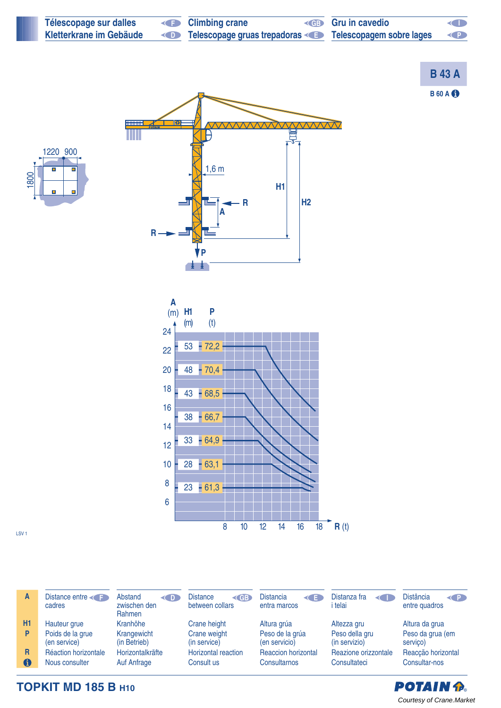| Télescopage sur dalles  | <b>E</b> Climbing crane                                                | <b>ED</b> Gru in cavedio | <b>KID</b>                                                    |
|-------------------------|------------------------------------------------------------------------|--------------------------|---------------------------------------------------------------|
| Kletterkrane im Gebäude | Telescopage gruas trepadoras <b>Example 3 Telescopagem sobre lages</b> |                          | $\left\langle \left\langle \cdot \right\rangle \right\rangle$ |







LSV 1

| A  | Distance entre<br>cadres         | Abstand<br>$\langle \blacksquare$<br>zwischen den<br>Rahmen | <b>Distance</b><br>$<$ GB $_{\rm s}$<br>between collars | <b>Distancia</b><br>$\triangleleft$ $=$<br>entra marcos | Distanza fra<br>$\left\langle \right $<br>i telai | <b>Distância</b><br>$\left( 1\right)$<br>entre quadros |
|----|----------------------------------|-------------------------------------------------------------|---------------------------------------------------------|---------------------------------------------------------|---------------------------------------------------|--------------------------------------------------------|
| H1 | Hauteur grue                     | Kranhöhe                                                    | Crane height                                            | Altura grúa                                             | Altezza gru                                       | Altura da grua                                         |
| P  | Poids de la grue<br>(en service) | Krangewicht<br>(in Betrieb)                                 | Crane weight<br>(in service)                            | Peso de la grúa<br>(en servicio)                        | Peso della gru<br>(in servizio)                   | Peso da grua (em<br>servico)                           |
| R  | Réaction horizontale             | Horizontalkräfte                                            | <b>Horizontal reaction</b>                              | <b>Reaccion horizontal</b>                              | Reazione orizzontale                              | Reacção horizontal                                     |
| 6  | Nous consulter                   | Auf Anfrage                                                 | Consult us                                              | Consultarnos                                            | Consultateci                                      | Consultar-nos                                          |

## **TOPKIT MD 185 B H10**

## **POTAIN P.** [Courtesy of Crane.Market](https://crane.market)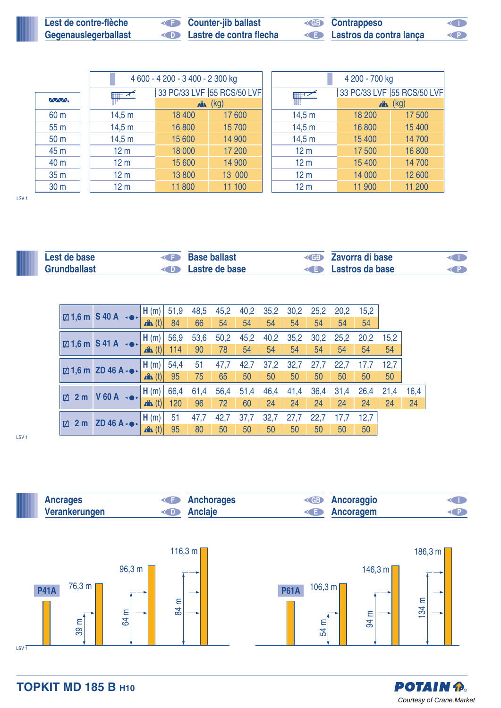| Lest de contre-flèche | <b>Counter-jib ballast</b> | <b>ED</b> Contrappeso    | $\blacksquare$ |
|-----------------------|----------------------------|--------------------------|----------------|
| Gegenauslegerballast  | Lastre de contra flecha    | Electros da contra lança |                |

|                 |                           | 4 600 - 4 200 - 3 400 - 2 300 kg |                            |                   | 4 200 - 700 kg |                            |  |  |  |
|-----------------|---------------------------|----------------------------------|----------------------------|-------------------|----------------|----------------------------|--|--|--|
|                 | $\mathbb{H}^{\mathbb{Z}}$ |                                  | 33 PC/33 LVF 55 RCS/50 LVF | $\equiv$ $\times$ |                | 33 PC/33 LVF 55 RCS/50 LVF |  |  |  |
| <b>MMM</b>      |                           | A                                | (kg)                       |                   | $x^2$ (kg)     |                            |  |  |  |
| 60 m            | 14,5 m                    | 18 400                           | 17600                      | 14,5 m            | 18 200         | 17500                      |  |  |  |
| 55 <sub>m</sub> | 14,5 m                    | 16 800                           | 15 700                     | 14,5 m            | 16 800         | 15 400                     |  |  |  |
| 50 <sub>m</sub> | 14,5 m                    | 15 600                           | 14 900                     | 14,5 m            | 15 400         | 14700                      |  |  |  |
| 45 m            | 12 <sub>m</sub>           | 18 000                           | 17 200                     | 12 <sub>m</sub>   | 17500          | 16 800                     |  |  |  |
| 40 m            | 12 <sub>m</sub>           | 15 600                           | 14 900                     | 12 <sub>m</sub>   | 15 400         | 14 700                     |  |  |  |
| 35 m            | 12 <sub>m</sub>           | 13800                            | 13 000                     | 12 <sub>m</sub>   | 14 000         | 12 600                     |  |  |  |
| 30 <sub>m</sub> | 12 <sub>m</sub>           | 11 800                           | 11 100                     | 12 <sub>m</sub>   | 11 900         | 11 200                     |  |  |  |

LSV 1

| Lest de base        | <b>Base ballast</b>             | <b>ED</b> Zavorra di base        | <b>CID</b> |
|---------------------|---------------------------------|----------------------------------|------------|
| <b>Grundballast</b> | <b>Example 2</b> Lastre de base | <b>Example 3</b> Lastros da base | <b>CP</b>  |

|                      | $\boxtimes$ 1,6 m S 40 A $\rightarrow$ | , H (m)          | 51,9 | 48,5 | 45,2 | 40,2 | 35,2 | 30,2 | 25,2 | 20,2 | 15,2 |      |      |
|----------------------|----------------------------------------|------------------|------|------|------|------|------|------|------|------|------|------|------|
|                      |                                        | $\mathbf{A}$ (t) | 84   | 66   | 54   | 54   | 54   | 54   | 54   | 54   | 54   |      |      |
|                      | $\boxtimes$ 1,6 m S 41 A               | H(m)             | 56,9 | 53,6 | 50,2 | 45,2 | 40,2 | 35,2 | 30,2 | 25,2 | 20,2 | 15,2 |      |
|                      |                                        | $\mathbf{A}$ (t) | 114  | 90   | 78   | 54   | 54   | 54   | 54   | 54   | 54   | 54   |      |
|                      | $\boxtimes$ 1,6 m ZD 46 A $\cdot$      | H(m)             | 54,4 | 51   | 47,7 | 42,7 | 37,2 | 32,7 | 27,7 | 22,7 | 17,7 | 12,7 |      |
|                      |                                        | x(x(t))          | 95   | 75   | 65   | 50   | 50   | 50   | 50   | 50   | 50   | 50   |      |
| 2 <sub>m</sub><br>Ø. | $V$ 60 A $\rightarrow$                 | H(m)             | 66,4 | 61,4 | 56,4 | 51,4 | 46,4 | 41,4 | 36,4 | 31,4 | 26,4 | 21,4 | 16,4 |
|                      |                                        | $\mathbf{A}$ (t) | 120  | 96   | 72   | 60   | 24   | 24   | 24   | 24   | 24   | 24   | 24   |
| Ø.                   | $ZD$ 46 A $\cdot \bullet \cdot$        | H(m)             | 51   | 47,7 | 42,7 | 37,7 | 32,7 | 27,7 | 22,7 | 17,7 | 12,7 |      |      |
| 2 <sub>m</sub>       |                                        | $\mathbf{A}$ (t) | 95   | 80   | 50   | 50   | 50   | 50   | 50   | 50   | 50   |      |      |

LSV 1





**TOPKIT MD 185 B H10**